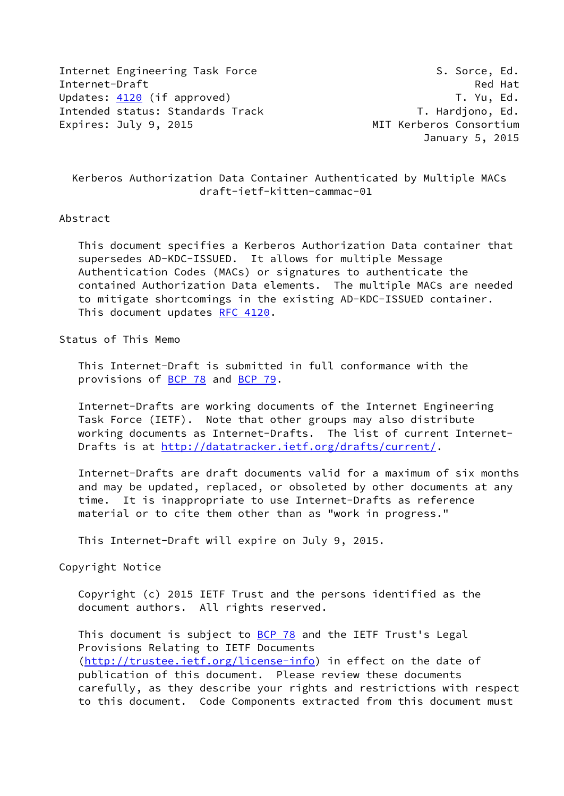Internet Engineering Task Force S. Sorce, Ed. Internet-Draft Red Hat Updates: [4120](https://datatracker.ietf.org/doc/pdf/rfc4120) (if approved) Updates: 4120 (if approved) Intended status: Standards Track T. Hardjono, Ed. Expires: July 9, 2015 **MIT Kerberos Consortium** 

January 5, 2015

# Kerberos Authorization Data Container Authenticated by Multiple MACs draft-ietf-kitten-cammac-01

## Abstract

 This document specifies a Kerberos Authorization Data container that supersedes AD-KDC-ISSUED. It allows for multiple Message Authentication Codes (MACs) or signatures to authenticate the contained Authorization Data elements. The multiple MACs are needed to mitigate shortcomings in the existing AD-KDC-ISSUED container. This document updates [RFC 4120](https://datatracker.ietf.org/doc/pdf/rfc4120).

## Status of This Memo

 This Internet-Draft is submitted in full conformance with the provisions of [BCP 78](https://datatracker.ietf.org/doc/pdf/bcp78) and [BCP 79](https://datatracker.ietf.org/doc/pdf/bcp79).

 Internet-Drafts are working documents of the Internet Engineering Task Force (IETF). Note that other groups may also distribute working documents as Internet-Drafts. The list of current Internet Drafts is at<http://datatracker.ietf.org/drafts/current/>.

 Internet-Drafts are draft documents valid for a maximum of six months and may be updated, replaced, or obsoleted by other documents at any time. It is inappropriate to use Internet-Drafts as reference material or to cite them other than as "work in progress."

This Internet-Draft will expire on July 9, 2015.

Copyright Notice

 Copyright (c) 2015 IETF Trust and the persons identified as the document authors. All rights reserved.

This document is subject to **[BCP 78](https://datatracker.ietf.org/doc/pdf/bcp78)** and the IETF Trust's Legal Provisions Relating to IETF Documents [\(http://trustee.ietf.org/license-info](http://trustee.ietf.org/license-info)) in effect on the date of publication of this document. Please review these documents carefully, as they describe your rights and restrictions with respect to this document. Code Components extracted from this document must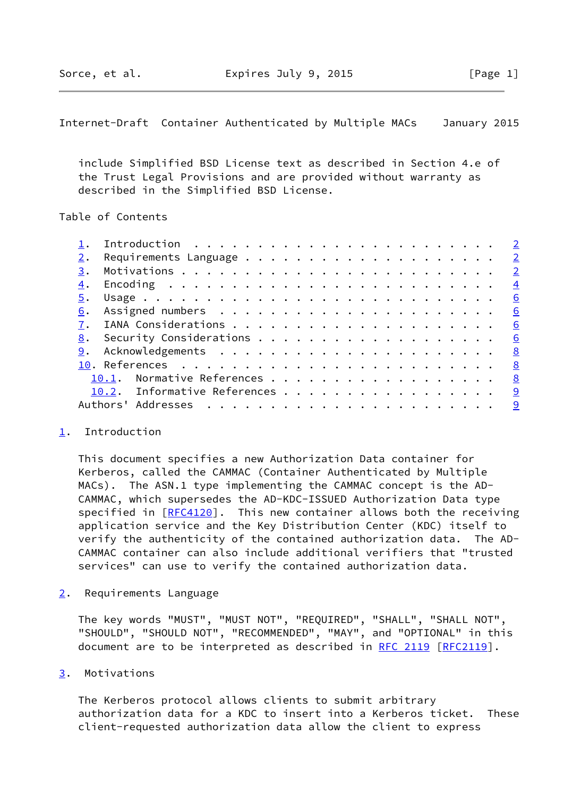<span id="page-1-1"></span>Internet-Draft Container Authenticated by Multiple MACs January 2015

 include Simplified BSD License text as described in Section 4.e of the Trust Legal Provisions and are provided without warranty as described in the Simplified BSD License.

### Table of Contents

|    | Introduction $\cdots \cdots \cdots \cdots \cdots \cdots \cdots \cdots \cdots$ |                            |
|----|-------------------------------------------------------------------------------|----------------------------|
|    |                                                                               |                            |
| 3. |                                                                               | $\overline{\phantom{0}}^2$ |
| 4. |                                                                               | $\frac{4}{1}$              |
|    |                                                                               | 6                          |
| 6. |                                                                               | 6                          |
|    |                                                                               | 6                          |
|    |                                                                               | 6                          |
|    |                                                                               | <u>8</u>                   |
|    |                                                                               | <u>8</u>                   |
|    | 10.1. Normative References 8                                                  |                            |
|    | 10.2. Informative References 9                                                |                            |
|    |                                                                               | <u>_9</u>                  |
|    |                                                                               |                            |

#### <span id="page-1-0"></span>[1](#page-1-0). Introduction

 This document specifies a new Authorization Data container for Kerberos, called the CAMMAC (Container Authenticated by Multiple MACs). The ASN.1 type implementing the CAMMAC concept is the AD- CAMMAC, which supersedes the AD-KDC-ISSUED Authorization Data type specified in [\[RFC4120](https://datatracker.ietf.org/doc/pdf/rfc4120)]. This new container allows both the receiving application service and the Key Distribution Center (KDC) itself to verify the authenticity of the contained authorization data. The AD- CAMMAC container can also include additional verifiers that "trusted services" can use to verify the contained authorization data.

<span id="page-1-2"></span>[2](#page-1-2). Requirements Language

 The key words "MUST", "MUST NOT", "REQUIRED", "SHALL", "SHALL NOT", "SHOULD", "SHOULD NOT", "RECOMMENDED", "MAY", and "OPTIONAL" in this document are to be interpreted as described in [RFC 2119 \[RFC2119](https://datatracker.ietf.org/doc/pdf/rfc2119)].

## <span id="page-1-3"></span>[3](#page-1-3). Motivations

 The Kerberos protocol allows clients to submit arbitrary authorization data for a KDC to insert into a Kerberos ticket. These client-requested authorization data allow the client to express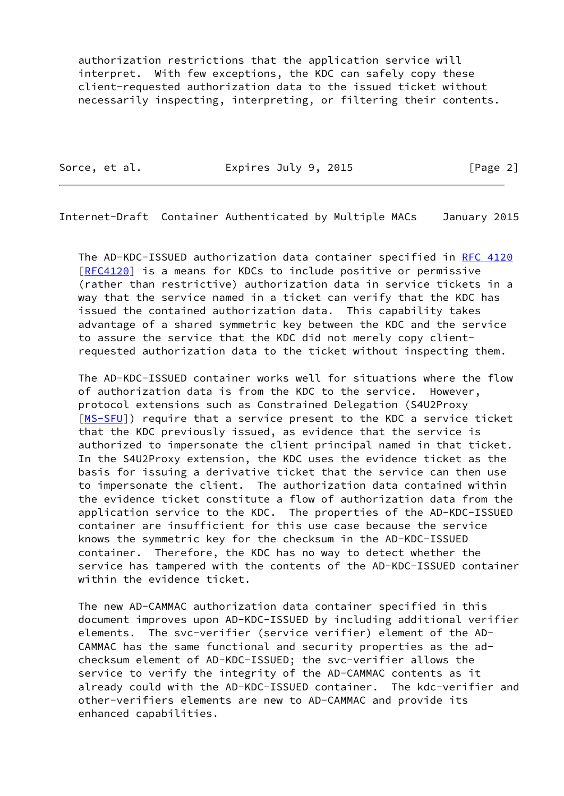authorization restrictions that the application service will interpret. With few exceptions, the KDC can safely copy these client-requested authorization data to the issued ticket without necessarily inspecting, interpreting, or filtering their contents.

Sorce, et al. **Expires July 9, 2015** [Page 2]

Internet-Draft Container Authenticated by Multiple MACs January 2015

 The AD-KDC-ISSUED authorization data container specified in [RFC 4120](https://datatracker.ietf.org/doc/pdf/rfc4120) [\[RFC4120](https://datatracker.ietf.org/doc/pdf/rfc4120)] is a means for KDCs to include positive or permissive (rather than restrictive) authorization data in service tickets in a way that the service named in a ticket can verify that the KDC has issued the contained authorization data. This capability takes advantage of a shared symmetric key between the KDC and the service to assure the service that the KDC did not merely copy client requested authorization data to the ticket without inspecting them.

 The AD-KDC-ISSUED container works well for situations where the flow of authorization data is from the KDC to the service. However, protocol extensions such as Constrained Delegation (S4U2Proxy [\[MS-SFU](#page-9-2)]) require that a service present to the KDC a service ticket that the KDC previously issued, as evidence that the service is authorized to impersonate the client principal named in that ticket. In the S4U2Proxy extension, the KDC uses the evidence ticket as the basis for issuing a derivative ticket that the service can then use to impersonate the client. The authorization data contained within the evidence ticket constitute a flow of authorization data from the application service to the KDC. The properties of the AD-KDC-ISSUED container are insufficient for this use case because the service knows the symmetric key for the checksum in the AD-KDC-ISSUED container. Therefore, the KDC has no way to detect whether the service has tampered with the contents of the AD-KDC-ISSUED container within the evidence ticket.

 The new AD-CAMMAC authorization data container specified in this document improves upon AD-KDC-ISSUED by including additional verifier elements. The svc-verifier (service verifier) element of the AD- CAMMAC has the same functional and security properties as the ad checksum element of AD-KDC-ISSUED; the svc-verifier allows the service to verify the integrity of the AD-CAMMAC contents as it already could with the AD-KDC-ISSUED container. The kdc-verifier and other-verifiers elements are new to AD-CAMMAC and provide its enhanced capabilities.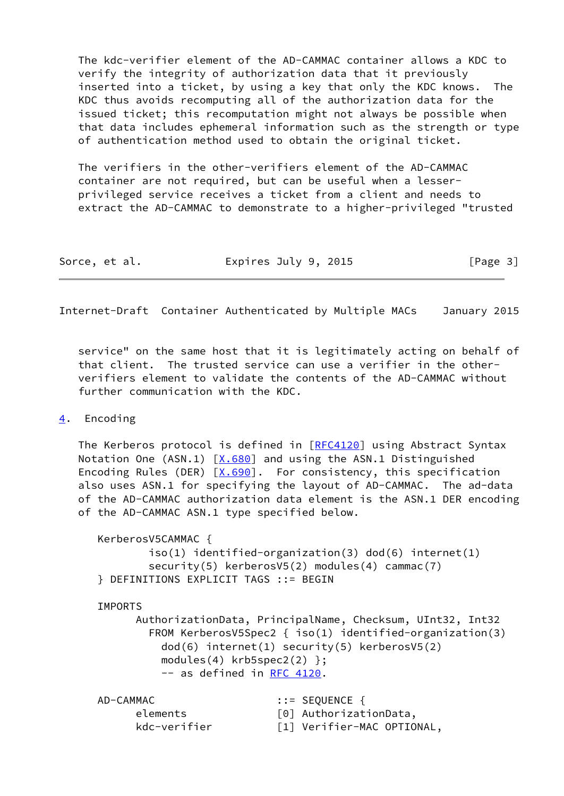The kdc-verifier element of the AD-CAMMAC container allows a KDC to verify the integrity of authorization data that it previously inserted into a ticket, by using a key that only the KDC knows. The KDC thus avoids recomputing all of the authorization data for the issued ticket; this recomputation might not always be possible when that data includes ephemeral information such as the strength or type of authentication method used to obtain the original ticket.

 The verifiers in the other-verifiers element of the AD-CAMMAC container are not required, but can be useful when a lesser privileged service receives a ticket from a client and needs to extract the AD-CAMMAC to demonstrate to a higher-privileged "trusted

| Expires July 9, 2015<br>Sorce, et al. | [Page 3] |
|---------------------------------------|----------|
|---------------------------------------|----------|

<span id="page-3-1"></span>Internet-Draft Container Authenticated by Multiple MACs January 2015

 service" on the same host that it is legitimately acting on behalf of that client. The trusted service can use a verifier in the other verifiers element to validate the contents of the AD-CAMMAC without further communication with the KDC.

## <span id="page-3-0"></span>[4](#page-3-0). Encoding

The Kerberos protocol is defined in [\[RFC4120](https://datatracker.ietf.org/doc/pdf/rfc4120)] using Abstract Syntax Notation One (ASN.1)  $[X.680]$  and using the ASN.1 Distinguished Encoding Rules (DER)  $[X.690]$ . For consistency, this specification also uses ASN.1 for specifying the layout of AD-CAMMAC. The ad-data of the AD-CAMMAC authorization data element is the ASN.1 DER encoding of the AD-CAMMAC ASN.1 type specified below.

```
 KerberosV5CAMMAC {
        iso(1) identified-organization(3) dod(6) internet(1)
       security(5) kerberosV5(2) modules(4) cammac(7)
} DEFINITIONS EXPLICIT TAGS ::= BEGIN
```
#### IMPORTS

 AuthorizationData, PrincipalName, Checksum, UInt32, Int32 FROM KerberosV5Spec2 { iso(1) identified-organization(3) dod(6) internet(1) security(5) kerberosV5(2) modules(4) krb5spec2(2) }; -- as defined in [RFC 4120](https://datatracker.ietf.org/doc/pdf/rfc4120).

| AD-CAMMAC    | $\mathbf{::} = \mathsf{SEQUENCE}$ { |
|--------------|-------------------------------------|
| elements     | [0] AuthorizationData,              |
| kdc-verifier | [1] Verifier-MAC OPTIONAL,          |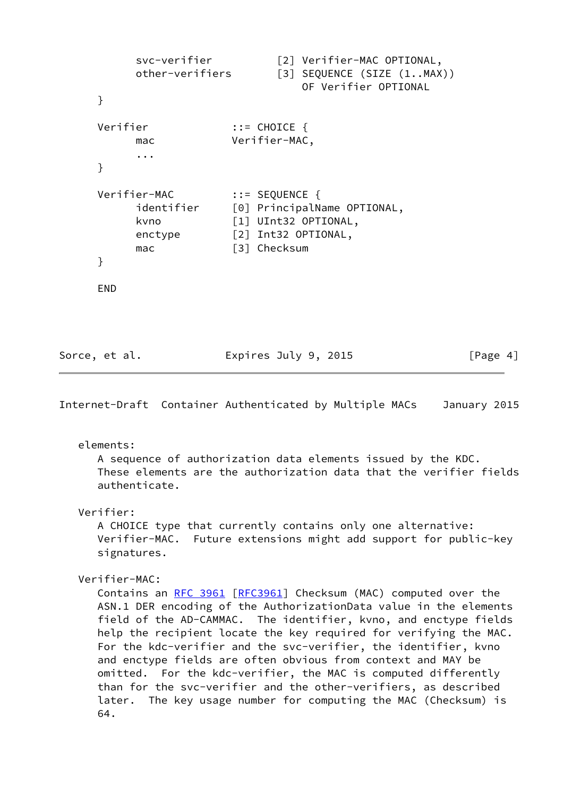```
svc-verifier [2] Verifier-MAC OPTIONAL,
    other-verifiers [3] SEQUENCE (SIZE (1..MAX))
                          OF Verifier OPTIONAL
}
Verifier ::= CHOICE {
     mac Verifier-MAC,
     ...
}
Verifier-MAC ::= SEQUENCE {
    identifier [0] PrincipalName OPTIONAL,
    kvno [1] UInt32 OPTIONAL,
     enctype [2] Int32 OPTIONAL,
    mac [3] Checksum
}
END
```

| Sorce, et al. | Expires July 9, 2015 | [Page 4] |
|---------------|----------------------|----------|
|---------------|----------------------|----------|

Internet-Draft Container Authenticated by Multiple MACs January 2015

elements:

 A sequence of authorization data elements issued by the KDC. These elements are the authorization data that the verifier fields authenticate.

Verifier:

 A CHOICE type that currently contains only one alternative: Verifier-MAC. Future extensions might add support for public-key signatures.

Verifier-MAC:

Contains an [RFC 3961 \[RFC3961](https://datatracker.ietf.org/doc/pdf/rfc3961)] Checksum (MAC) computed over the ASN.1 DER encoding of the AuthorizationData value in the elements field of the AD-CAMMAC. The identifier, kvno, and enctype fields help the recipient locate the key required for verifying the MAC. For the kdc-verifier and the svc-verifier, the identifier, kvno and enctype fields are often obvious from context and MAY be omitted. For the kdc-verifier, the MAC is computed differently than for the svc-verifier and the other-verifiers, as described later. The key usage number for computing the MAC (Checksum) is 64.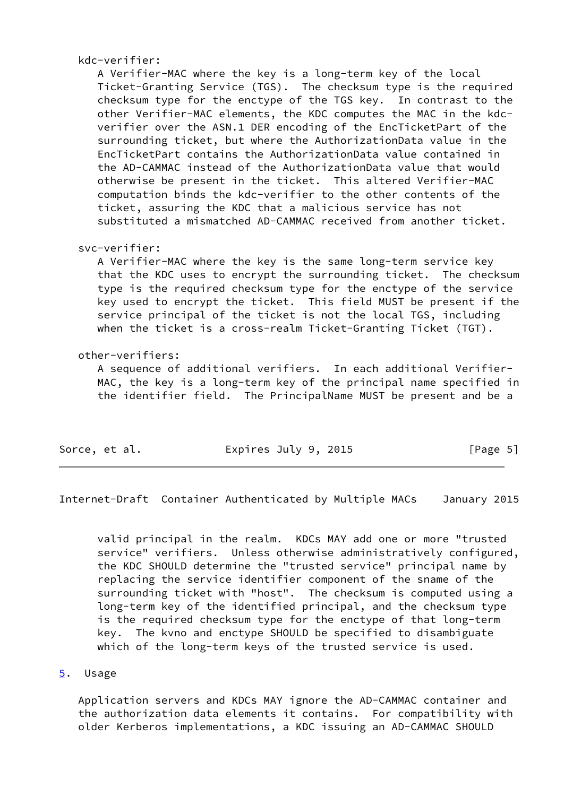kdc-verifier:

 A Verifier-MAC where the key is a long-term key of the local Ticket-Granting Service (TGS). The checksum type is the required checksum type for the enctype of the TGS key. In contrast to the other Verifier-MAC elements, the KDC computes the MAC in the kdc verifier over the ASN.1 DER encoding of the EncTicketPart of the surrounding ticket, but where the AuthorizationData value in the EncTicketPart contains the AuthorizationData value contained in the AD-CAMMAC instead of the AuthorizationData value that would otherwise be present in the ticket. This altered Verifier-MAC computation binds the kdc-verifier to the other contents of the ticket, assuring the KDC that a malicious service has not substituted a mismatched AD-CAMMAC received from another ticket.

### svc-verifier:

 A Verifier-MAC where the key is the same long-term service key that the KDC uses to encrypt the surrounding ticket. The checksum type is the required checksum type for the enctype of the service key used to encrypt the ticket. This field MUST be present if the service principal of the ticket is not the local TGS, including when the ticket is a cross-realm Ticket-Granting Ticket (TGT).

### other-verifiers:

 A sequence of additional verifiers. In each additional Verifier- MAC, the key is a long-term key of the principal name specified in the identifier field. The PrincipalName MUST be present and be a

| Sorce, et al.<br>Expires July 9, 2015 | [Page 5] |
|---------------------------------------|----------|
|---------------------------------------|----------|

<span id="page-5-1"></span>Internet-Draft Container Authenticated by Multiple MACs January 2015

 valid principal in the realm. KDCs MAY add one or more "trusted service" verifiers. Unless otherwise administratively configured, the KDC SHOULD determine the "trusted service" principal name by replacing the service identifier component of the sname of the surrounding ticket with "host". The checksum is computed using a long-term key of the identified principal, and the checksum type is the required checksum type for the enctype of that long-term key. The kvno and enctype SHOULD be specified to disambiguate which of the long-term keys of the trusted service is used.

#### <span id="page-5-0"></span>[5](#page-5-0). Usage

 Application servers and KDCs MAY ignore the AD-CAMMAC container and the authorization data elements it contains. For compatibility with older Kerberos implementations, a KDC issuing an AD-CAMMAC SHOULD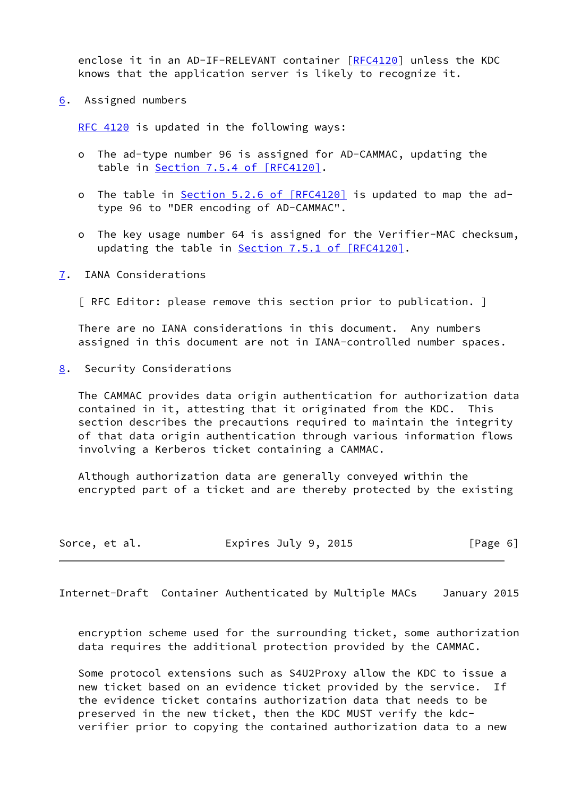enclose it in an AD-IF-RELEVANT container [[RFC4120](https://datatracker.ietf.org/doc/pdf/rfc4120)] unless the KDC knows that the application server is likely to recognize it.

<span id="page-6-0"></span>[6](#page-6-0). Assigned numbers

[RFC 4120](https://datatracker.ietf.org/doc/pdf/rfc4120) is updated in the following ways:

- o The ad-type number 96 is assigned for AD-CAMMAC, updating the table in Section [7.5.4 of \[RFC4120\].](https://datatracker.ietf.org/doc/pdf/rfc4120#section-7.5.4)
- o The table in Section [5.2.6 of \[RFC4120\]](https://datatracker.ietf.org/doc/pdf/rfc4120#section-5.2.6) is updated to map the adtype 96 to "DER encoding of AD-CAMMAC".
- o The key usage number 64 is assigned for the Verifier-MAC checksum, updating the table in **Section 7.5.1 of [RFC4120]**.
- <span id="page-6-1"></span>[7](#page-6-1). IANA Considerations
	- [ RFC Editor: please remove this section prior to publication. ]

 There are no IANA considerations in this document. Any numbers assigned in this document are not in IANA-controlled number spaces.

<span id="page-6-2"></span>[8](#page-6-2). Security Considerations

 The CAMMAC provides data origin authentication for authorization data contained in it, attesting that it originated from the KDC. This section describes the precautions required to maintain the integrity of that data origin authentication through various information flows involving a Kerberos ticket containing a CAMMAC.

 Although authorization data are generally conveyed within the encrypted part of a ticket and are thereby protected by the existing

| Expires July 9, 2015<br>Sorce, et al. | [Page 6] |
|---------------------------------------|----------|
|---------------------------------------|----------|

Internet-Draft Container Authenticated by Multiple MACs January 2015

 encryption scheme used for the surrounding ticket, some authorization data requires the additional protection provided by the CAMMAC.

 Some protocol extensions such as S4U2Proxy allow the KDC to issue a new ticket based on an evidence ticket provided by the service. If the evidence ticket contains authorization data that needs to be preserved in the new ticket, then the KDC MUST verify the kdc verifier prior to copying the contained authorization data to a new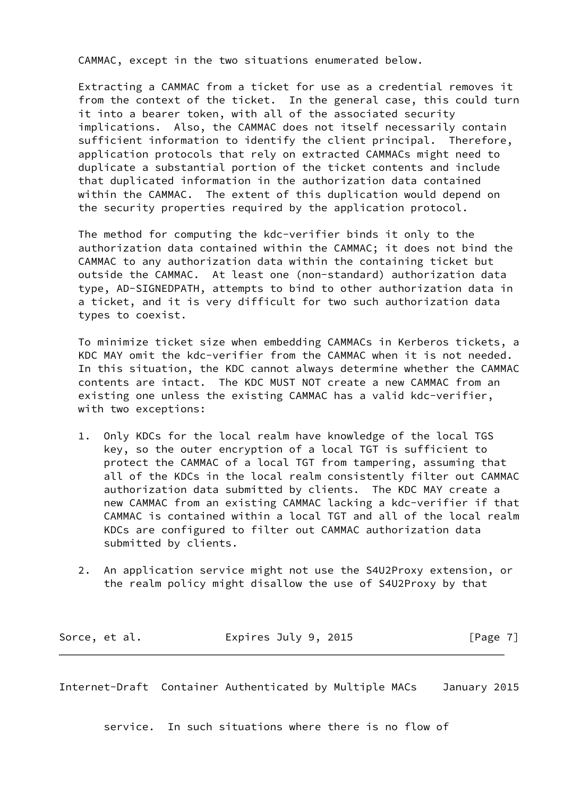CAMMAC, except in the two situations enumerated below.

 Extracting a CAMMAC from a ticket for use as a credential removes it from the context of the ticket. In the general case, this could turn it into a bearer token, with all of the associated security implications. Also, the CAMMAC does not itself necessarily contain sufficient information to identify the client principal. Therefore, application protocols that rely on extracted CAMMACs might need to duplicate a substantial portion of the ticket contents and include that duplicated information in the authorization data contained within the CAMMAC. The extent of this duplication would depend on the security properties required by the application protocol.

 The method for computing the kdc-verifier binds it only to the authorization data contained within the CAMMAC; it does not bind the CAMMAC to any authorization data within the containing ticket but outside the CAMMAC. At least one (non-standard) authorization data type, AD-SIGNEDPATH, attempts to bind to other authorization data in a ticket, and it is very difficult for two such authorization data types to coexist.

 To minimize ticket size when embedding CAMMACs in Kerberos tickets, a KDC MAY omit the kdc-verifier from the CAMMAC when it is not needed. In this situation, the KDC cannot always determine whether the CAMMAC contents are intact. The KDC MUST NOT create a new CAMMAC from an existing one unless the existing CAMMAC has a valid kdc-verifier, with two exceptions:

- 1. Only KDCs for the local realm have knowledge of the local TGS key, so the outer encryption of a local TGT is sufficient to protect the CAMMAC of a local TGT from tampering, assuming that all of the KDCs in the local realm consistently filter out CAMMAC authorization data submitted by clients. The KDC MAY create a new CAMMAC from an existing CAMMAC lacking a kdc-verifier if that CAMMAC is contained within a local TGT and all of the local realm KDCs are configured to filter out CAMMAC authorization data submitted by clients.
- 2. An application service might not use the S4U2Proxy extension, or the realm policy might disallow the use of S4U2Proxy by that

| Sorce, et al. | Expires July 9, 2015 | [Page 7] |
|---------------|----------------------|----------|
|---------------|----------------------|----------|

<span id="page-7-0"></span>Internet-Draft Container Authenticated by Multiple MACs January 2015

service. In such situations where there is no flow of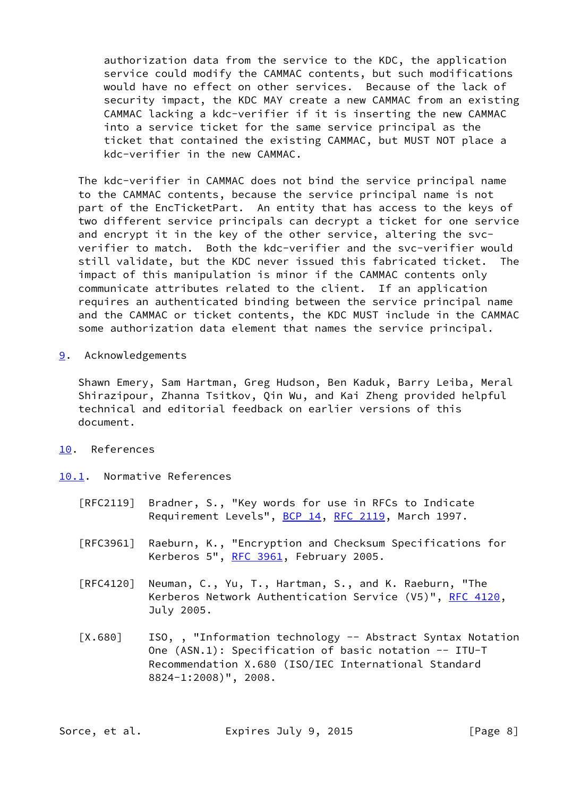authorization data from the service to the KDC, the application service could modify the CAMMAC contents, but such modifications would have no effect on other services. Because of the lack of security impact, the KDC MAY create a new CAMMAC from an existing CAMMAC lacking a kdc-verifier if it is inserting the new CAMMAC into a service ticket for the same service principal as the ticket that contained the existing CAMMAC, but MUST NOT place a kdc-verifier in the new CAMMAC.

 The kdc-verifier in CAMMAC does not bind the service principal name to the CAMMAC contents, because the service principal name is not part of the EncTicketPart. An entity that has access to the keys of two different service principals can decrypt a ticket for one service and encrypt it in the key of the other service, altering the svc verifier to match. Both the kdc-verifier and the svc-verifier would still validate, but the KDC never issued this fabricated ticket. The impact of this manipulation is minor if the CAMMAC contents only communicate attributes related to the client. If an application requires an authenticated binding between the service principal name and the CAMMAC or ticket contents, the KDC MUST include in the CAMMAC some authorization data element that names the service principal.

<span id="page-8-0"></span>[9](#page-8-0). Acknowledgements

 Shawn Emery, Sam Hartman, Greg Hudson, Ben Kaduk, Barry Leiba, Meral Shirazipour, Zhanna Tsitkov, Qin Wu, and Kai Zheng provided helpful technical and editorial feedback on earlier versions of this document.

# <span id="page-8-1"></span>[10.](#page-8-1) References

<span id="page-8-2"></span>[10.1](#page-8-2). Normative References

- [RFC2119] Bradner, S., "Key words for use in RFCs to Indicate Requirement Levels", [BCP 14](https://datatracker.ietf.org/doc/pdf/bcp14), [RFC 2119](https://datatracker.ietf.org/doc/pdf/rfc2119), March 1997.
- [RFC3961] Raeburn, K., "Encryption and Checksum Specifications for Kerberos 5", [RFC 3961](https://datatracker.ietf.org/doc/pdf/rfc3961), February 2005.
- [RFC4120] Neuman, C., Yu, T., Hartman, S., and K. Raeburn, "The Kerberos Network Authentication Service (V5)", [RFC 4120](https://datatracker.ietf.org/doc/pdf/rfc4120), July 2005.
- <span id="page-8-3"></span>[X.680] ISO,, "Information technology -- Abstract Syntax Notation One (ASN.1): Specification of basic notation -- ITU-T Recommendation X.680 (ISO/IEC International Standard 8824-1:2008)", 2008.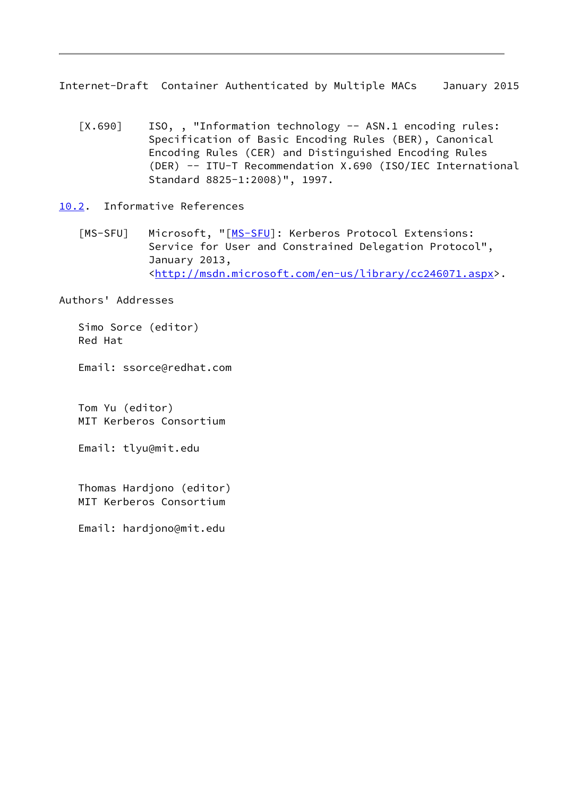<span id="page-9-1"></span>Internet-Draft Container Authenticated by Multiple MACs January 2015

<span id="page-9-3"></span>[X.690] ISO,, "Information technology -- ASN.1 encoding rules: Specification of Basic Encoding Rules (BER), Canonical Encoding Rules (CER) and Distinguished Encoding Rules (DER) -- ITU-T Recommendation X.690 (ISO/IEC International Standard 8825-1:2008)", 1997.

<span id="page-9-0"></span>[10.2](#page-9-0). Informative References

<span id="page-9-2"></span>[\[MS-SFU](#page-9-2)] Microsoft, "[MS-SFU]: Kerberos Protocol Extensions: Service for User and Constrained Delegation Protocol", January 2013, <[http://msdn.microsoft.com/en-us/library/cc246071.aspx>](http://msdn.microsoft.com/en-us/library/cc246071.aspx).

Authors' Addresses

 Simo Sorce (editor) Red Hat

Email: ssorce@redhat.com

 Tom Yu (editor) MIT Kerberos Consortium

Email: tlyu@mit.edu

 Thomas Hardjono (editor) MIT Kerberos Consortium

Email: hardjono@mit.edu